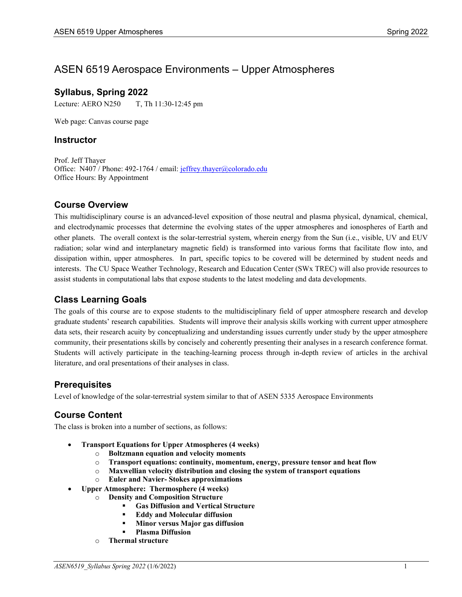# ASEN 6519 Aerospace Environments – Upper Atmospheres

### **Syllabus, Spring 2022**

Lecture: AERO N250 T, Th 11:30-12:45 pm

Web page: Canvas course page

#### **Instructor**

Prof. Jeff Thayer Office: N407 / Phone: 492-1764 / email: [jeffrey.thayer@colorado.edu](mailto:jeffrey.thayer@colorado.edu) Office Hours: By Appointment

# **Course Overview**

This multidisciplinary course is an advanced-level exposition of those neutral and plasma physical, dynamical, chemical, and electrodynamic processes that determine the evolving states of the upper atmospheres and ionospheres of Earth and other planets. The overall context is the solar-terrestrial system, wherein energy from the Sun (i.e., visible, UV and EUV radiation; solar wind and interplanetary magnetic field) is transformed into various forms that facilitate flow into, and dissipation within, upper atmospheres. In part, specific topics to be covered will be determined by student needs and interests. The CU Space Weather Technology, Research and Education Center (SWx TREC) will also provide resources to assist students in computational labs that expose students to the latest modeling and data developments.

### **Class Learning Goals**

The goals of this course are to expose students to the multidisciplinary field of upper atmosphere research and develop graduate students' research capabilities. Students will improve their analysis skills working with current upper atmosphere data sets, their research acuity by conceptualizing and understanding issues currently under study by the upper atmosphere community, their presentations skills by concisely and coherently presenting their analyses in a research conference format. Students will actively participate in the teaching-learning process through in-depth review of articles in the archival literature, and oral presentations of their analyses in class.

### **Prerequisites**

Level of knowledge of the solar-terrestrial system similar to that of ASEN 5335 Aerospace Environments

# **Course Content**

The class is broken into a number of sections, as follows:

- **Transport Equations for Upper Atmospheres (4 weeks)**
	- o **Boltzmann equation and velocity moments**
	- o **Transport equations: continuity, momentum, energy, pressure tensor and heat flow**
	- o **Maxwellian velocity distribution and closing the system of transport equations**
	- o **Euler and Navier- Stokes approximations**
- **Upper Atmosphere: Thermosphere (4 weeks)**
	- o **Density and Composition Structure**
		- **Gas Diffusion and Vertical Structure**
		- **Eddy and Molecular diffusion**
		- **Minor versus Major gas diffusion**
		- **Plasma Diffusion**
	- o **Thermal structure**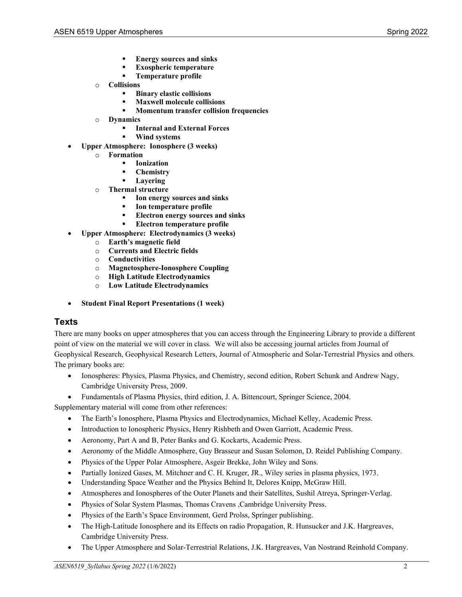- **Energy sources and sinks**
- **Exospheric temperature**
- **Temperature profile**
- o **Collisions**
	- **Binary elastic collisions**
	- **Maxwell molecule collisions**
	- **Momentum transfer collision frequencies**
- o **Dynamics**
	- **Internal and External Forces**
	- **Wind systems**
- **Upper Atmosphere: Ionosphere (3 weeks)**
	- o **Formation**
		- **Ionization**
		- **Chemistry**
		- **Layering**
	- o **Thermal structure**
		- **Ion energy sources and sinks**
		- **Ion temperature profile**
		- **Electron energy sources and sinks**
		- **Electron temperature profile**
- **Upper Atmosphere: Electrodynamics (3 weeks)**
	- o **Earth's magnetic field**
	- o **Currents and Electric fields**
	- o **Conductivities**
	- o **Magnetosphere-Ionosphere Coupling**
	- o **High Latitude Electrodynamics**
	- o **Low Latitude Electrodynamics**
- **Student Final Report Presentations (1 week)**

#### **Texts**

There are many books on upper atmospheres that you can access through the Engineering Library to provide a different point of view on the material we will cover in class. We will also be accessing journal articles from Journal of Geophysical Research, Geophysical Research Letters, Journal of Atmospheric and Solar-Terrestrial Physics and others. The primary books are:

- Ionospheres: Physics, Plasma Physics, and Chemistry, second edition, Robert Schunk and Andrew Nagy, Cambridge University Press, 2009.
- Fundamentals of Plasma Physics, third edition, J. A. Bittencourt, Springer Science, 2004.

Supplementary material will come from other references:

- The Earth's Ionosphere, Plasma Physics and Electrodynamics, Michael Kelley, Academic Press.
- Introduction to Ionospheric Physics, Henry Rishbeth and Owen Garriott, Academic Press.
- Aeronomy, Part A and B, Peter Banks and G. Kockarts, Academic Press.
- Aeronomy of the Middle Atmosphere, Guy Brasseur and Susan Solomon, D. Reidel Publishing Company.
- Physics of the Upper Polar Atmosphere, Asgeir Brekke, John Wiley and Sons.
- Partially Ionized Gases, M. Mitchner and C. H. Kruger, JR., Wiley series in plasma physics, 1973.
- Understanding Space Weather and the Physics Behind It, Delores Knipp, McGraw Hill.
- Atmospheres and Ionospheres of the Outer Planets and their Satellites, Sushil Atreya, Springer-Verlag.
- Physics of Solar System Plasmas, Thomas Cravens ,Cambridge University Press.
- Physics of the Earth's Space Environment, Gerd Prolss, Springer publishing.
- The High-Latitude Ionosphere and its Effects on radio Propagation, R. Hunsucker and J.K. Hargreaves, Cambridge University Press.
- The Upper Atmosphere and Solar-Terrestrial Relations, J.K. Hargreaves, Van Nostrand Reinhold Company.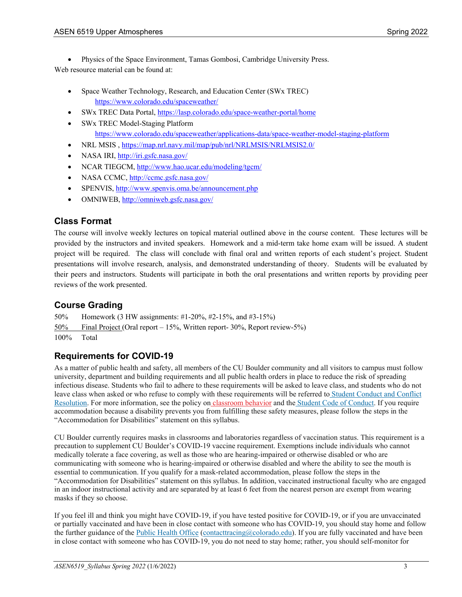• Physics of the Space Environment, Tamas Gombosi, Cambridge University Press. Web resource material can be found at:

- Space Weather Technology, Research, and Education Center (SWx TREC) <https://www.colorado.edu/spaceweather/>
- SWx TREC Data Portal,<https://lasp.colorado.edu/space-weather-portal/home>
- SWx TREC Model-Staging Platform <https://www.colorado.edu/spaceweather/applications-data/space-weather-model-staging-platform>
- NRL MSIS,<https://map.nrl.navy.mil/map/pub/nrl/NRLMSIS/NRLMSIS2.0/>
- NASA IRI,<http://iri.gsfc.nasa.gov/>
- NCAR TIEGCM[, http://www.hao.ucar.edu/modeling/tgcm/](http://www.hao.ucar.edu/modeling/tgcm/)
- NASA CCMC[, http://ccmc.gsfc.nasa.gov/](http://ccmc.gsfc.nasa.gov/)
- SPENVIS[, http://www.spenvis.oma.be/announcement.php](http://www.spenvis.oma.be/announcement.php)
- OMNIWEB,<http://omniweb.gsfc.nasa.gov/>

# **Class Format**

The course will involve weekly lectures on topical material outlined above in the course content. These lectures will be provided by the instructors and invited speakers. Homework and a mid-term take home exam will be issued. A student project will be required. The class will conclude with final oral and written reports of each student's project. Student presentations will involve research, analysis, and demonstrated understanding of theory. Students will be evaluated by their peers and instructors. Students will participate in both the oral presentations and written reports by providing peer reviews of the work presented.

# **Course Grading**

50% Homework (3 HW assignments: #1-20%, #2-15%, and #3-15%)

50% Final Project (Oral report – 15%, Written report- 30%, Report review-5%)

100% Total

# **Requirements for COVID-19**

As a matter of public health and safety, all members of the CU Boulder community and all visitors to campus must follow university, department and building requirements and all public health orders in place to reduce the risk of spreading infectious disease. Students who fail to adhere to these requirements will be asked to leave class, and students who do not leave class when asked or who refuse to comply with these requirements will be referred to Student [Conduct](https://www.colorado.edu/sccr/) and Conflict [Resolution.](https://www.colorado.edu/sccr/) For more information, see the policy on [classroom](http://www.colorado.edu/policies/student-classroom-and-course-related-behavior) behavior and the Student Code of [Conduct.](http://www.colorado.edu/osccr/) If you require accommodation because a disability prevents you from fulfilling these safety measures, please follow the steps in the "Accommodation for Disabilities" statement on this syllabus.

CU Boulder currently requires masks in classrooms and laboratories regardless of vaccination status. This requirement is a precaution to supplement CU Boulder's COVID-19 vaccine requirement. Exemptions include individuals who cannot medically tolerate a face covering, as well as those who are hearing-impaired or otherwise disabled or who are communicating with someone who is hearing-impaired or otherwise disabled and where the ability to see the mouth is essential to communication. If you qualify for a mask-related accommodation, please follow the steps in the "Accommodation for Disabilities" statement on this syllabus. In addition, vaccinated instructional faculty who are engaged in an indoor instructional activity and are separated by at least 6 feet from the nearest person are exempt from wearing masks if they so choose.

If you feel ill and think you might have COVID-19, if you have tested positive for COVID-19, or if you are unvaccinated or partially vaccinated and have been in close contact with someone who has COVID-19, you should stay home and follow the further guidance of the Public [Health](https://www.colorado.edu/health/public-health/quarantine-and-isolation) Office [\(contacttracing@colorado.edu\)](mailto:contacttracing@colorado.edu). If you are fully vaccinated and have been in close contact with someone who has COVID-19, you do not need to stay home; rather, you should self-monitor for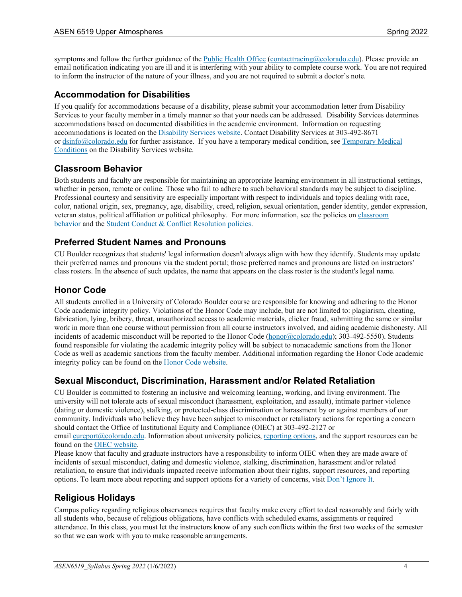symptoms and follow the further guidance of the Public [Health](https://www.colorado.edu/health/public-health/quarantine-and-isolation) Office [\(contacttracing@colorado.edu\)](mailto:contacttracing@colorado.edu). Please provide an email notification indicating you are ill and it is interfering with your ability to complete course work. You are not required to inform the instructor of the nature of your illness, and you are not required to submit a doctor's note.

# **Accommodation for Disabilities**

If you qualify for accommodations because of a disability, please submit your accommodation letter from Disability Services to your faculty member in a timely manner so that your needs can be addressed. Disability Services determines accommodations based on documented disabilities in the academic environment. Information on requesting accommodations is located on the [Disability](https://www.colorado.edu/disabilityservices/) Services website. Contact Disability Services at 303-492-8671 or [dsinfo@colorado.edu](mailto:dsinfo@colorado.edu) for further assistance. If you have a temporary medical condition, see [Temporary](http://www.colorado.edu/disabilityservices/students/temporary-medical-conditions) Medical [Conditions](http://www.colorado.edu/disabilityservices/students/temporary-medical-conditions) on the Disability Services website.

# **Classroom Behavior**

Both students and faculty are responsible for maintaining an appropriate learning environment in all instructional settings, whether in person, remote or online. Those who fail to adhere to such behavioral standards may be subject to discipline. Professional courtesy and sensitivity are especially important with respect to individuals and topics dealing with race, color, national origin, sex, pregnancy, age, disability, creed, religion, sexual orientation, gender identity, gender expression, veteran status, political affiliation or political philosophy. For more information, see the policies on [classroom](http://www.colorado.edu/policies/student-classroom-and-course-related-behavior) [behavior](http://www.colorado.edu/policies/student-classroom-and-course-related-behavior) and the Student Conduct & Conflict [Resolution](https://www.colorado.edu/sccr/student-conduct) policies.

### **Preferred Student Names and Pronouns**

CU Boulder recognizes that students' legal information doesn't always align with how they identify. Students may update their preferred names and pronouns via the student portal; those preferred names and pronouns are listed on instructors' class rosters. In the absence of such updates, the name that appears on the class roster is the student's legal name.

### **Honor Code**

All students enrolled in a University of Colorado Boulder course are responsible for knowing and adhering to the Honor Code academic integrity policy. Violations of the Honor Code may include, but are not limited to: plagiarism, cheating, fabrication, lying, bribery, threat, unauthorized access to academic materials, clicker fraud, submitting the same or similar work in more than one course without permission from all course instructors involved, and aiding academic dishonesty. All incidents of academic misconduct will be reported to the Honor Code [\(honor@colorado.edu\)](mailto:honor@colorado.edu); 303-492-5550). Students found responsible for violating the academic integrity policy will be subject to nonacademic sanctions from the Honor Code as well as academic sanctions from the faculty member. Additional information regarding the Honor Code academic integrity policy can be found on the Honor Code [website.](https://www.colorado.edu/osccr/honor-code)

### **Sexual Misconduct, Discrimination, Harassment and/or Related Retaliation**

CU Boulder is committed to fostering an inclusive and welcoming learning, working, and living environment. The university will not tolerate acts of sexual misconduct (harassment, exploitation, and assault), intimate partner violence (dating or domestic violence), stalking, or protected-class discrimination or harassment by or against members of our community. Individuals who believe they have been subject to misconduct or retaliatory actions for reporting a concern should contact the Office of Institutional Equity and Compliance (OIEC) at 303-492-2127 or email [cureport@colorado.edu.](mailto:cureport@colorado.edu) Information about university policies, [reporting](https://www.colorado.edu/oiec/reporting-resolutions/making-report) options, and the support resources can be

found on the OIEC [website.](http://www.colorado.edu/institutionalequity/)

Please know that faculty and graduate instructors have a responsibility to inform OIEC when they are made aware of incidents of sexual misconduct, dating and domestic violence, stalking, discrimination, harassment and/or related retaliation, to ensure that individuals impacted receive information about their rights, support resources, and reporting options. To learn more about reporting and support options for a variety of concerns, visit Don't [Ignore](https://www.colorado.edu/dontignoreit/) It.

### **Religious Holidays**

Campus policy regarding religious observances requires that faculty make every effort to deal reasonably and fairly with all students who, because of religious obligations, have conflicts with scheduled exams, assignments or required attendance. In this class, you must let the instructors know of any such conflicts within the first two weeks of the semester so that we can work with you to make reasonable arrangements.